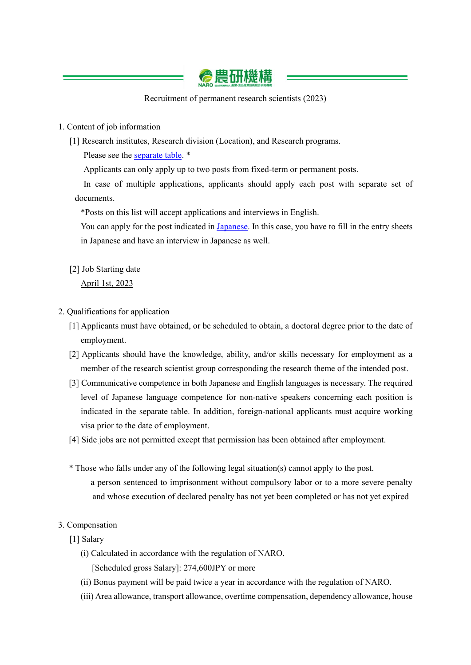

Recruitment of permanent research scientists (2023)

## 1. Content of job information

[1] Research institutes, Research division (Location), and Research programs.

Please see the [separate table.](https://www.naro.go.jp/english/contents/files/f5099db7f9ece4d27a008860e0966211.pdf) \*

Applicants can only apply up to two posts from fixed-term or permanent posts.

In case of multiple applications, applicants should apply each post with separate set of documents.

\*Posts on this list will accept applications and interviews in English.

You can apply for the post indicated in [Japanese.](https://www.naro.go.jp/acquisition/2022/05/153307.html) In this case, you have to fill in the entry sheets in Japanese and have an interview in Japanese as well.

[2] Job Starting date

April 1st, 2023

- 2. Qualifications for application
	- [1] Applicants must have obtained, or be scheduled to obtain, a doctoral degree prior to the date of employment.
	- [2] Applicants should have the knowledge, ability, and/or skills necessary for employment as a member of the research scientist group corresponding the research theme of the intended post.
	- [3] Communicative competence in both Japanese and English languages is necessary. The required level of Japanese language competence for non-native speakers concerning each position is indicated in the separate table. In addition, foreign-national applicants must acquire working visa prior to the date of employment.
	- [4] Side jobs are not permitted except that permission has been obtained after employment.
	- \* Those who falls under any of the following legal situation(s) cannot apply to the post. a person sentenced to imprisonment without compulsory labor or to a more severe penalty and whose execution of declared penalty has not yet been completed or has not yet expired

## 3. Compensation

- [1] Salary
	- (i) Calculated in accordance with the regulation of NARO.

[Scheduled gross Salary]: 274,600JPY or more

- (ii) Bonus payment will be paid twice a year in accordance with the regulation of NARO.
- (iii) Area allowance, transport allowance, overtime compensation, dependency allowance, house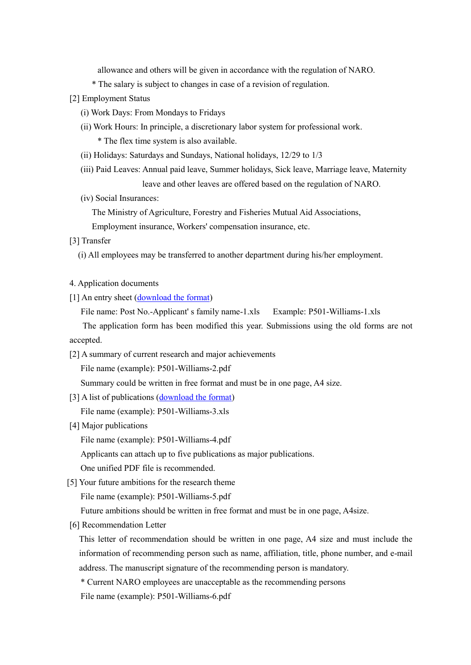allowance and others will be given in accordance with the regulation of NARO.

- \* The salary is subject to changes in case of a revision of regulation.
- [2] Employment Status
	- (i) Work Days: From Mondays to Fridays
	- (ii) Work Hours: In principle, a discretionary labor system for professional work. \* The flex time system is also available.
	- (ii) Holidays: Saturdays and Sundays, National holidays, 12/29 to 1/3
	- (iii) Paid Leaves: Annual paid leave, Summer holidays, Sick leave, Marriage leave, Maternity leave and other leaves are offered based on the regulation of NARO.
	- (iv) Social Insurances:

The Ministry of Agriculture, Forestry and Fisheries Mutual Aid Associations,

Employment insurance, Workers' compensation insurance, etc.

## [3] Transfer

(i) All employees may be transferred to another department during his/her employment.

## 4. Application documents

[1] An entry sheet [\(download the format\)](https://www.naro.go.jp/english/contents/files/9814d4f0645a43964a8805d32aebbca1.xls)

File name: Post No.-Applicant' s family name-1.xls Example: P501-Williams-1.xls

The application form has been modified this year. Submissions using the old forms are not accepted.

[2] A summary of current research and major achievements

File name (example): P501-Williams-2.pdf

Summary could be written in free format and must be in one page, A4 size.

[3] A list of publications [\(download the format\)](https://www.naro.go.jp/english/contents/files/83ecb393515ad7b52fe3ecdd88d82e6b.xls)

File name (example): P501-Williams-3.xls

[4] Major publications

File name (example): P501-Williams-4.pdf

Applicants can attach up to five publications as major publications.

- One unified PDF file is recommended.
- [5] Your future ambitions for the research theme

File name (example): P501-Williams-5.pdf

Future ambitions should be written in free format and must be in one page, A4size.

[6] Recommendation Letter

This letter of recommendation should be written in one page, A4 size and must include the information of recommending person such as name, affiliation, title, phone number, and e-mail address. The manuscript signature of the recommending person is mandatory.

\* Current NARO employees are unacceptable as the recommending persons

File name (example): P501-Williams-6.pdf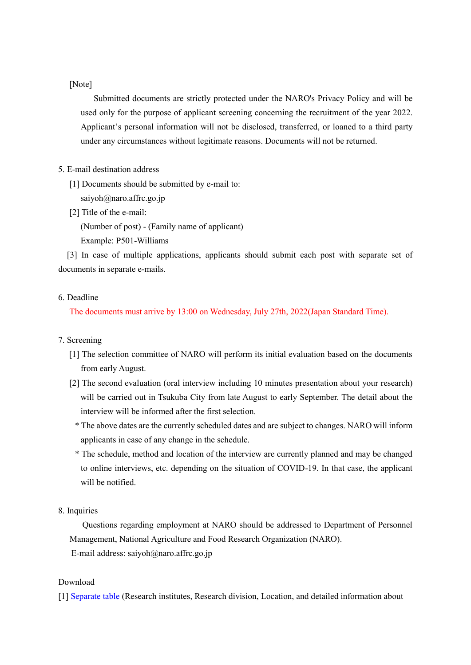[Note]

 Submitted documents are strictly protected under the NARO's Privacy Policy and will be used only for the purpose of applicant screening concerning the recruitment of the year 2022. Applicant's personal information will not be disclosed, transferred, or loaned to a third party under any circumstances without legitimate reasons. Documents will not be returned.

# 5. E-mail destination address

- [1] Documents should be submitted by e-mail to:
	- saiyoh $@$ naro.affrc.go.jp
- [2] Title of the e-mail:

(Number of post) - (Family name of applicant)

Example: P501-Williams

 [3] In case of multiple applications, applicants should submit each post with separate set of documents in separate e-mails.

## 6. Deadline

The documents must arrive by 13:00 on Wednesday, July 27th, 2022(Japan Standard Time).

#### 7. Screening

- [1] The selection committee of NARO will perform its initial evaluation based on the documents from early August.
- [2] The second evaluation (oral interview including 10 minutes presentation about your research) will be carried out in Tsukuba City from late August to early September. The detail about the interview will be informed after the first selection.
	- \* The above dates are the currently scheduled dates and are subject to changes. NARO will inform applicants in case of any change in the schedule.
	- \* The schedule, method and location of the interview are currently planned and may be changed to online interviews, etc. depending on the situation of COVID-19. In that case, the applicant will be notified.
- 8. Inquiries

 Questions regarding employment at NARO should be addressed to Department of Personnel Management, National Agriculture and Food Research Organization (NARO). E-mail address: saiyoh@naro.affrc.go.jp

#### Download

[1] [Separate table](https://www.naro.go.jp/english/contents/files/f5099db7f9ece4d27a008860e0966211.pdf) (Research institutes, Research division, Location, and detailed information about